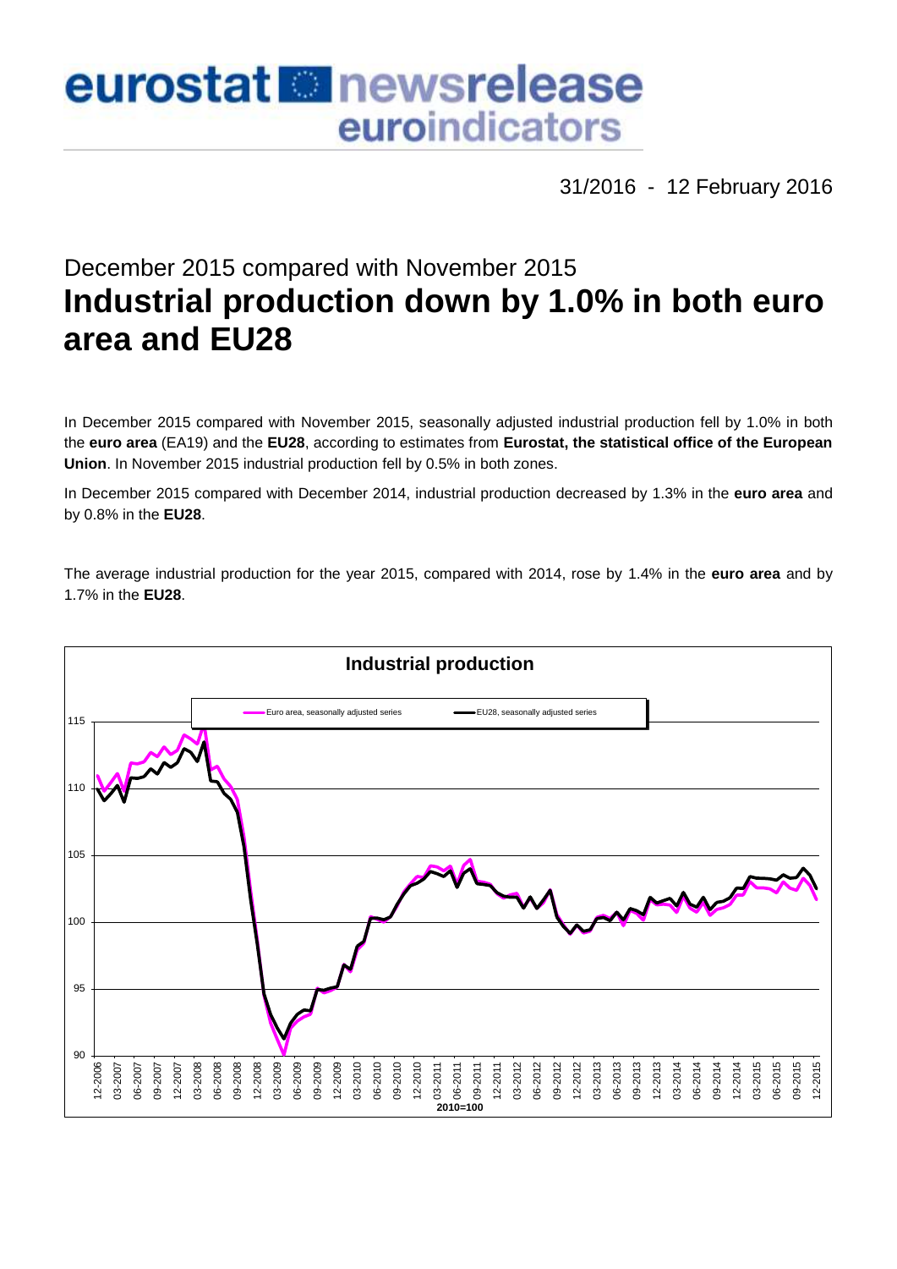# eurostat **B**newsrelease euroindicators

31/2016 - 12 February 2016

# December 2015 compared with November 2015 **Industrial production down by 1.0% in both euro area and EU28**

In December 2015 compared with November 2015, seasonally adjusted industrial production fell by 1.0% in both the **euro area** (EA19) and the **EU28**, according to estimates from **Eurostat, the statistical office of the European Union**. In November 2015 industrial production fell by 0.5% in both zones.

In December 2015 compared with December 2014, industrial production decreased by 1.3% in the **euro area** and by 0.8% in the **EU28**.

The average industrial production for the year 2015, compared with 2014, rose by 1.4% in the **euro area** and by 1.7% in the **EU28**.

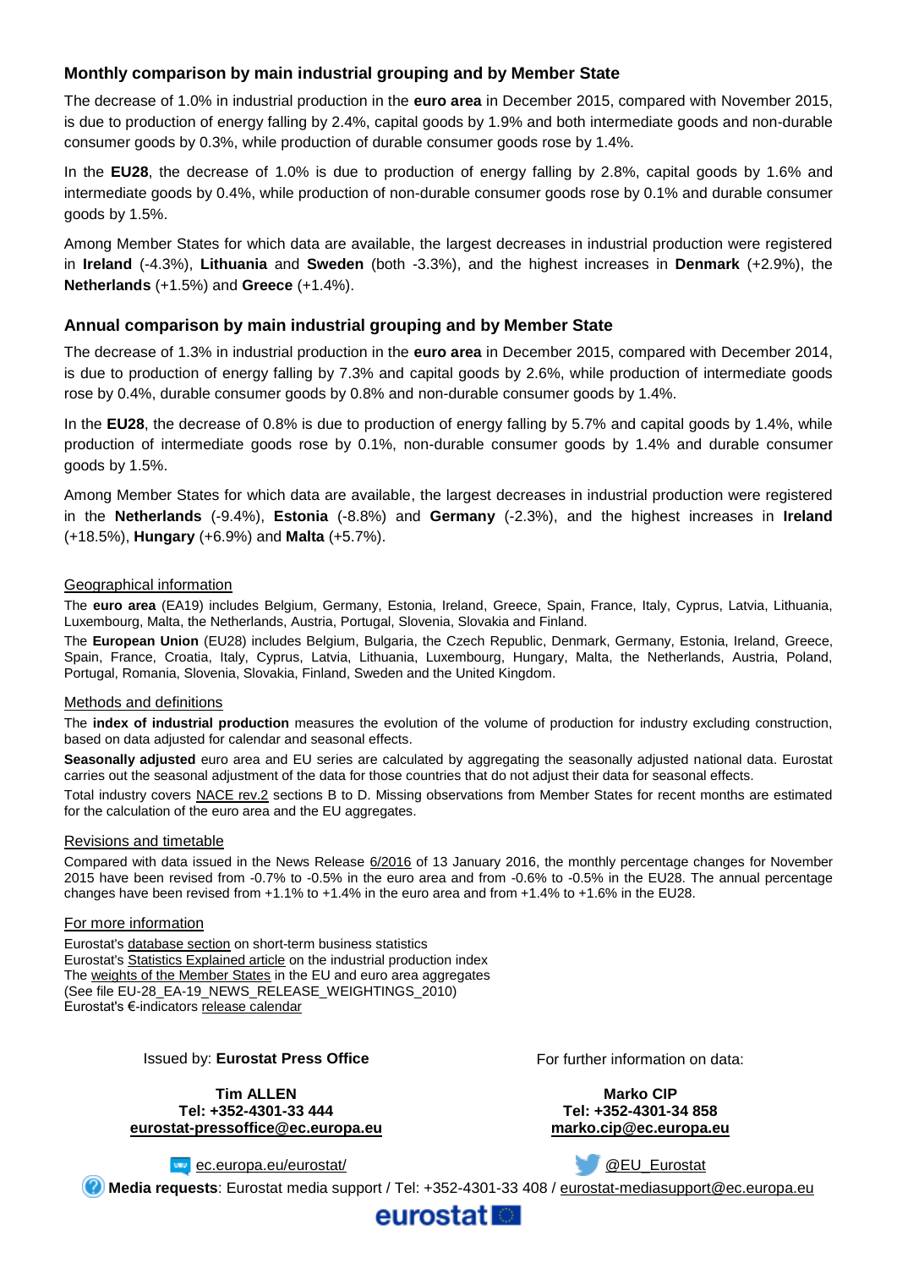# **Monthly comparison by main industrial grouping and by Member State**

The decrease of 1.0% in industrial production in the **euro area** in December 2015, compared with November 2015, is due to production of energy falling by 2.4%, capital goods by 1.9% and both intermediate goods and non-durable consumer goods by 0.3%, while production of durable consumer goods rose by 1.4%.

In the **EU28**, the decrease of 1.0% is due to production of energy falling by 2.8%, capital goods by 1.6% and intermediate goods by 0.4%, while production of non-durable consumer goods rose by 0.1% and durable consumer goods by 1.5%.

Among Member States for which data are available, the largest decreases in industrial production were registered in **Ireland** (-4.3%), **Lithuania** and **Sweden** (both -3.3%), and the highest increases in **Denmark** (+2.9%), the **Netherlands** (+1.5%) and **Greece** (+1.4%).

### **Annual comparison by main industrial grouping and by Member State**

The decrease of 1.3% in industrial production in the **euro area** in December 2015, compared with December 2014, is due to production of energy falling by 7.3% and capital goods by 2.6%, while production of intermediate goods rose by 0.4%, durable consumer goods by 0.8% and non-durable consumer goods by 1.4%.

In the **EU28**, the decrease of 0.8% is due to production of energy falling by 5.7% and capital goods by 1.4%, while production of intermediate goods rose by 0.1%, non-durable consumer goods by 1.4% and durable consumer goods by 1.5%.

Among Member States for which data are available, the largest decreases in industrial production were registered in the **Netherlands** (-9.4%), **Estonia** (-8.8%) and **Germany** (-2.3%), and the highest increases in **Ireland**  (+18.5%), **Hungary** (+6.9%) and **Malta** (+5.7%).

#### Geographical information

The **euro area** (EA19) includes Belgium, Germany, Estonia, Ireland, Greece, Spain, France, Italy, Cyprus, Latvia, Lithuania, Luxembourg, Malta, the Netherlands, Austria, Portugal, Slovenia, Slovakia and Finland.

The **European Union** (EU28) includes Belgium, Bulgaria, the Czech Republic, Denmark, Germany, Estonia, Ireland, Greece, Spain, France, Croatia, Italy, Cyprus, Latvia, Lithuania, Luxembourg, Hungary, Malta, the Netherlands, Austria, Poland, Portugal, Romania, Slovenia, Slovakia, Finland, Sweden and the United Kingdom.

#### Methods and definitions

The **index of industrial production** measures the evolution of the volume of production for industry excluding construction, based on data adjusted for calendar and seasonal effects.

**Seasonally adjusted** euro area and EU series are calculated by aggregating the seasonally adjusted national data. Eurostat carries out the seasonal adjustment of the data for those countries that do not adjust their data for seasonal effects.

Total industry covers [NACE rev.2](http://ec.europa.eu/eurostat/ramon/nomenclatures/index.cfm?TargetUrl=LST_NOM_DTL&StrNom=NACE_REV2&StrLanguageCode=EN&IntPcKey=&StrLayoutCode=HIERARCHIC) sections B to D. Missing observations from Member States for recent months are estimated for the calculation of the euro area and the EU aggregates.

#### Revisions and timetable

Compared with data issued in the News Release [6/2016](http://ec.europa.eu/eurostat/documents/2995521/7130748/4-13012016-AP-EN.pdf/80408ccf-9cea-4a6f-acda-2bd46989b509) of 13 January 2016, the monthly percentage changes for November 2015 have been revised from -0.7% to -0.5% in the euro area and from -0.6% to -0.5% in the EU28. The annual percentage changes have been revised from +1.1% to +1.4% in the euro area and from +1.4% to +1.6% in the EU28.

#### For more information

Eurostat's [database section](http://ec.europa.eu/eurostat/web/short-term-business-statistics/data/database) on short-term business statistics Eurostat's [Statistics Explained article](http://ec.europa.eu/eurostat/statistics-explained/index.php/Industrial_production_(volume)_index_overview) on the industrial production index Th[e weights of the Member States](https://circabc.europa.eu/w/browse/5e6d1e48-056c-4c6a-8278-3ab138bcf575) in the EU and euro area aggregates (See file EU-28\_EA-19\_NEWS\_RELEASE\_WEIGHTINGS\_2010) Eurostat's €-indicators [release calendar](http://ec.europa.eu/eurostat/news/release-calendar)

#### Issued by: **Eurostat Press Office**

**Tim ALLEN Tel: +352-4301-33 444 [eurostat-pressoffice@ec.europa.eu](mailto:eurostat-pressoffice@ec.europa.eu)** For further information on data:

**Marko CIP Tel: +352-4301-34 858 [marko.cip@ec.europa.eu](mailto:marko.cip@ec.europa.eu)**

[@EU\\_Eurostat](http://twitter.com/EU_Eurostat)

**Example C.europa.eu/eurostat/** 

**Media requests**: Eurostat media support / Tel: +352-4301-33 408 / [eurostat-mediasupport@ec.europa.eu](mailto:eurostat-mediasupport@ec.europa.eu)

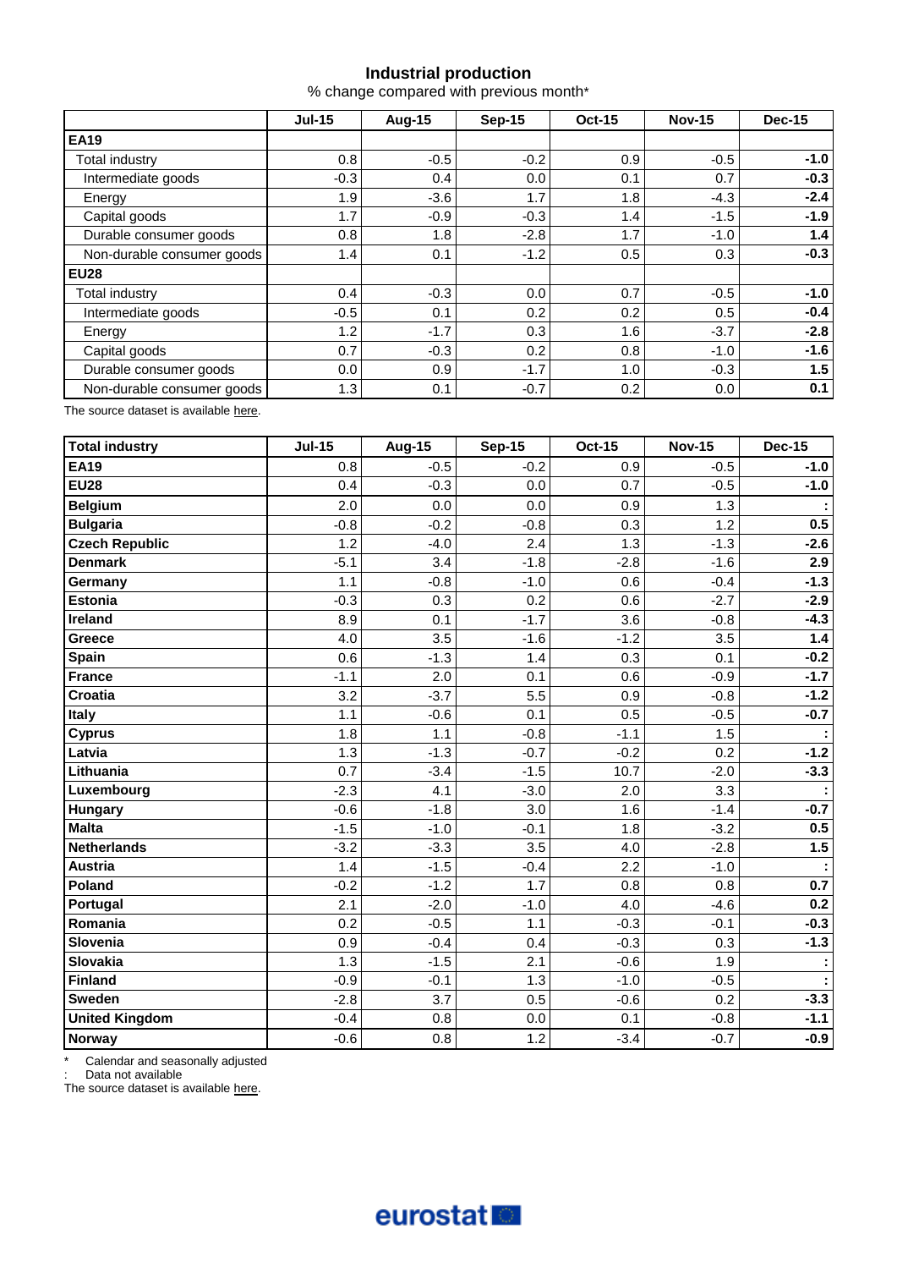# **Industrial production**

% change compared with previous month\*

|                            | <b>Jul-15</b> | <b>Aug-15</b> | Sep-15 | <b>Oct-15</b> | <b>Nov-15</b> | <b>Dec-15</b> |  |
|----------------------------|---------------|---------------|--------|---------------|---------------|---------------|--|
| <b>EA19</b>                |               |               |        |               |               |               |  |
| Total industry             | 0.8           | $-0.5$        | $-0.2$ | 0.9           | $-0.5$        | $-1.0$        |  |
| Intermediate goods         | $-0.3$        | 0.4           | 0.0    | 0.1           | 0.7           | $-0.3$        |  |
| Energy                     | 1.9           | $-3.6$        | 1.7    | 1.8           | $-4.3$        | $-2.4$        |  |
| Capital goods              | 1.7           | $-0.9$        | $-0.3$ | 1.4           | $-1.5$        | $-1.9$        |  |
| Durable consumer goods     | 0.8           | 1.8           | $-2.8$ | 1.7           | $-1.0$        | 1.4           |  |
| Non-durable consumer goods | 1.4           | 0.1           | $-1.2$ | 0.5           | 0.3           | $-0.3$        |  |
| <b>EU28</b>                |               |               |        |               |               |               |  |
| <b>Total industry</b>      | 0.4           | $-0.3$        | 0.0    | 0.7           | $-0.5$        | $-1.0$        |  |
| Intermediate goods         | $-0.5$        | 0.1           | 0.2    | 0.2           | 0.5           | $-0.4$        |  |
| Energy                     | 1.2           | $-1.7$        | 0.3    | 1.6           | $-3.7$        | $-2.8$        |  |
| Capital goods              | 0.7           | $-0.3$        | 0.2    | 0.8           | $-1.0$        | $-1.6$        |  |
| Durable consumer goods     | 0.0           | 0.9           | $-1.7$ | 1.0           | $-0.3$        | 1.5           |  |
| Non-durable consumer goods | 1.3           | 0.1           | $-0.7$ | 0.2           | 0.0           | 0.1           |  |

The source dataset is available [here.](http://appsso.eurostat.ec.europa.eu/nui/show.do?query=BOOKMARK_DS-069601_QID_-3D4B1659_UID_-3F171EB0&layout=TIME,C,X,0;GEO,L,Y,0;NACE_R2,L,Y,1;INDIC_BT,L,Z,0;S_ADJ,L,Z,1;UNIT,L,Z,2;INDICATORS,C,Z,3;&zSelection=DS-069601INDIC_BT,PROD;DS-069601UNIT,PCH_PRE;DS-069601INDICATORS,OBS_FLAG;DS-069601S_ADJ,SWDA;&rankName1=UNIT_1_2_-1_2&rankName2=INDIC-BT_1_2_-1_2&rankName3=INDICATORS_1_2_-1_2&rankName4=S-ADJ_1_2_-1_2&rankName5=TIME_1_0_0_0&rankName6=GEO_1_0_0_1&rankName7=NACE-R2_1_0_1_1&sortR=ASC_-1_FIRST&sortC=ASC_-1_FIRST&rStp=&cStp=&rDCh=&cDCh=&rDM=true&cDM=true&footnes=false&empty=false&wai=false&time_mode=ROLLING&time_most_recent=true&lang=EN&cfo=%23%23%23%2C%23%23%23.%23%23%23)

| Total industry        | <b>Jul-15</b> | <b>Aug-15</b> | <b>Sep-15</b> | <b>Oct-15</b> | <b>Nov-15</b> | <b>Dec-15</b> |
|-----------------------|---------------|---------------|---------------|---------------|---------------|---------------|
| <b>EA19</b>           | 0.8           | $-0.5$        | $-0.2$        | 0.9           | $-0.5$        | $-1.0$        |
| <b>EU28</b>           | 0.4           | $-0.3$        | 0.0           | 0.7           | $-0.5$        | $-1.0$        |
| <b>Belgium</b>        | 2.0           | 0.0           | 0.0           | 0.9           | 1.3           |               |
| <b>Bulgaria</b>       | $-0.8$        | $-0.2$        | $-0.8$        | 0.3           | 1.2           | 0.5           |
| <b>Czech Republic</b> | 1.2           | $-4.0$        | 2.4           | 1.3           | $-1.3$        | $-2.6$        |
| <b>Denmark</b>        | $-5.1$        | 3.4           | $-1.8$        | $-2.8$        | $-1.6$        | 2.9           |
| Germany               | 1.1           | $-0.8$        | $-1.0$        | 0.6           | $-0.4$        | $-1.3$        |
| <b>Estonia</b>        | $-0.3$        | 0.3           | 0.2           | 0.6           | $-2.7$        | $-2.9$        |
| Ireland               | 8.9           | 0.1           | $-1.7$        | 3.6           | $-0.8$        | $-4.3$        |
| <b>Greece</b>         | 4.0           | 3.5           | $-1.6$        | $-1.2$        | 3.5           | 1.4           |
| <b>Spain</b>          | 0.6           | $-1.3$        | 1.4           | 0.3           | 0.1           | $-0.2$        |
| France                | $-1.1$        | 2.0           | 0.1           | 0.6           | $-0.9$        | $-1.7$        |
| Croatia               | 3.2           | $-3.7$        | 5.5           | 0.9           | $-0.8$        | $-1.2$        |
| <b>Italy</b>          | 1.1           | $-0.6$        | 0.1           | 0.5           | $-0.5$        | $-0.7$        |
| <b>Cyprus</b>         | 1.8           | 1.1           | $-0.8$        | $-1.1$        | 1.5           |               |
| Latvia                | 1.3           | $-1.3$        | $-0.7$        | $-0.2$        | 0.2           | $-1.2$        |
| Lithuania             | 0.7           | $-3.4$        | $-1.5$        | 10.7          | $-2.0$        | $-3.3$        |
| Luxembourg            | $-2.3$        | 4.1           | $-3.0$        | 2.0           | 3.3           |               |
| <b>Hungary</b>        | $-0.6$        | $-1.8$        | 3.0           | 1.6           | $-1.4$        | $-0.7$        |
| Malta                 | $-1.5$        | $-1.0$        | $-0.1$        | 1.8           | $-3.2$        | 0.5           |
| <b>Netherlands</b>    | $-3.2$        | $-3.3$        | 3.5           | 4.0           | $-2.8$        | 1.5           |
| <b>Austria</b>        | 1.4           | $-1.5$        | $-0.4$        | 2.2           | $-1.0$        |               |
| Poland                | $-0.2$        | $-1.2$        | 1.7           | 0.8           | 0.8           | 0.7           |
| Portugal              | 2.1           | $-2.0$        | $-1.0$        | 4.0           | $-4.6$        | 0.2           |
| Romania               | 0.2           | $-0.5$        | 1.1           | $-0.3$        | $-0.1$        | $-0.3$        |
| Slovenia              | 0.9           | $-0.4$        | 0.4           | $-0.3$        | 0.3           | $-1.3$        |
| Slovakia              | 1.3           | $-1.5$        | 2.1           | $-0.6$        | 1.9           |               |
| Finland               | $-0.9$        | $-0.1$        | 1.3           | $-1.0$        | $-0.5$        |               |
| <b>Sweden</b>         | $-2.8$        | 3.7           | 0.5           | $-0.6$        | 0.2           | $-3.3$        |
| <b>United Kingdom</b> | $-0.4$        | 0.8           | 0.0           | 0.1           | $-0.8$        | $-1.1$        |
| Norway                | $-0.6$        | 0.8           | 1.2           | $-3.4$        | $-0.7$        | $-0.9$        |

\* Calendar and seasonally adjusted

: Data not available

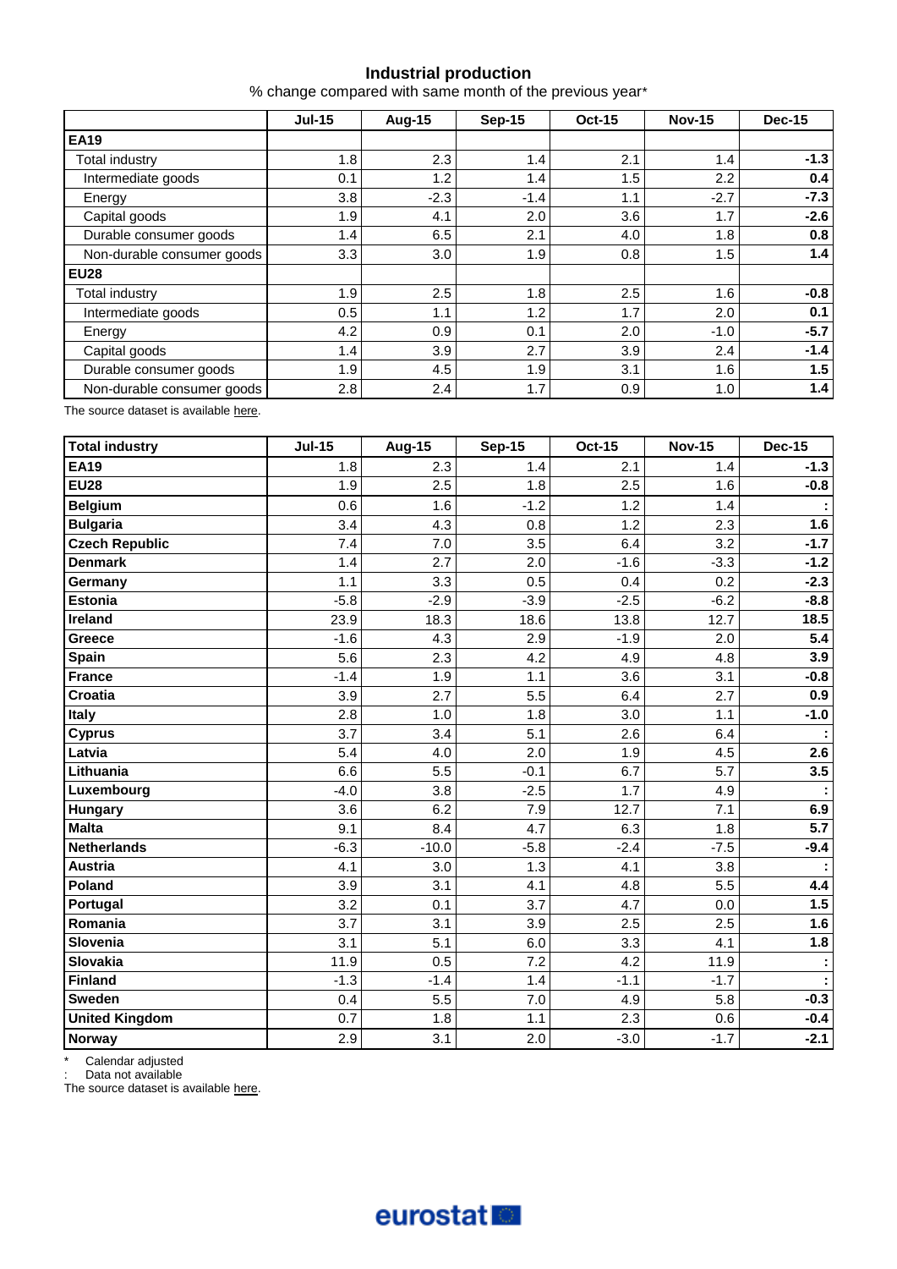# **Industrial production**

% change compared with same month of the previous year\*

|                            | <b>Jul-15</b> | Aug-15  | <b>Sep-15</b> | <b>Oct-15</b> | <b>Nov-15</b> | <b>Dec-15</b> |  |
|----------------------------|---------------|---------|---------------|---------------|---------------|---------------|--|
| <b>EA19</b>                |               |         |               |               |               |               |  |
| <b>Total industry</b>      | 1.8           | 2.3     | 1.4           | 2.1           | 1.4           | $-1.3$        |  |
| Intermediate goods         | 0.1           | 1.2     | 1.4           | 1.5           | 2.2           | 0.4           |  |
| Energy                     | 3.8           | $-2.3$  | $-1.4$        | 1.1           | $-2.7$        | $-7.3$        |  |
| Capital goods              | 1.9           | 4.1     | 2.0           | 3.6           | 1.7           | $-2.6$        |  |
| Durable consumer goods     | 1.4           | 6.5     | 2.1           | 4.0           | 1.8           | 0.8           |  |
| Non-durable consumer goods | 3.3           | 3.0     | 1.9           | 0.8           | 1.5           | 1.4           |  |
| <b>EU28</b>                |               |         |               |               |               |               |  |
| Total industry             | 1.9           | 2.5     | 1.8           | 2.5           | 1.6           | $-0.8$        |  |
| Intermediate goods         | 0.5           | 1.1     | 1.2           | 1.7           | 2.0           | 0.1           |  |
| Energy                     | 4.2           | 0.9     | 0.1           | 2.0           | $-1.0$        | $-5.7$        |  |
| Capital goods              | 1.4           | 3.9     | 2.7           | 3.9           | 2.4           | $-1.4$        |  |
| Durable consumer goods     | 1.9           | 4.5     | 1.9           | 3.1           | 1.6           | 1.5           |  |
| Non-durable consumer goods | 2.8           | $2.4\,$ | 1.7           | 0.9           | 1.0           | 1.4           |  |

The source dataset is available [here.](http://appsso.eurostat.ec.europa.eu/nui/show.do?query=BOOKMARK_DS-069601_QID_1E707F69_UID_-3F171EB0&layout=TIME,C,X,0;GEO,L,Y,0;NACE_R2,L,Y,1;INDIC_BT,L,Z,0;S_ADJ,L,Z,1;UNIT,L,Z,2;INDICATORS,C,Z,3;&zSelection=DS-069601INDIC_BT,PROD;DS-069601UNIT,PCH_SM;DS-069601INDICATORS,OBS_FLAG;DS-069601S_ADJ,WDA;&rankName1=UNIT_1_2_-1_2&rankName2=INDIC-BT_1_2_-1_2&rankName3=INDICATORS_1_2_-1_2&rankName4=S-ADJ_1_2_-1_2&rankName5=TIME_1_0_0_0&rankName6=GEO_1_0_0_1&rankName7=NACE-R2_1_0_1_1&sortR=ASC_-1_FIRST&sortC=ASC_-1_FIRST&rStp=&cStp=&rDCh=&cDCh=&rDM=true&cDM=true&footnes=false&empty=false&wai=false&time_mode=ROLLING&time_most_recent=true&lang=EN&cfo=%23%23%23%2C%23%23%23.%23%23%23)

| <b>Total industry</b> | <b>Jul-15</b> | <b>Aug-15</b> | <b>Sep-15</b> | <b>Oct-15</b> | <b>Nov-15</b> | <b>Dec-15</b> |
|-----------------------|---------------|---------------|---------------|---------------|---------------|---------------|
| <b>EA19</b>           | 1.8           | 2.3           | 1.4           | 2.1           | 1.4           | $-1.3$        |
| <b>EU28</b>           | 1.9           | 2.5           | 1.8           | 2.5           | 1.6           | $-0.8$        |
| <b>Belgium</b>        | 0.6           | 1.6           | $-1.2$        | 1.2           | 1.4           |               |
| <b>Bulgaria</b>       | 3.4           | 4.3           | 0.8           | 1.2           | 2.3           | 1.6           |
| <b>Czech Republic</b> | 7.4           | 7.0           | 3.5           | 6.4           | 3.2           | $-1.7$        |
| <b>Denmark</b>        | 1.4           | 2.7           | 2.0           | $-1.6$        | $-3.3$        | $-1.2$        |
| Germany               | 1.1           | 3.3           | 0.5           | 0.4           | 0.2           | $-2.3$        |
| <b>Estonia</b>        | $-5.8$        | $-2.9$        | $-3.9$        | $-2.5$        | $-6.2$        | $-8.8$        |
| Ireland               | 23.9          | 18.3          | 18.6          | 13.8          | 12.7          | 18.5          |
| Greece                | $-1.6$        | 4.3           | 2.9           | $-1.9$        | 2.0           | 5.4           |
| Spain                 | 5.6           | 2.3           | 4.2           | 4.9           | 4.8           | 3.9           |
| <b>France</b>         | $-1.4$        | 1.9           | 1.1           | 3.6           | 3.1           | $-0.8$        |
| <b>Croatia</b>        | 3.9           | 2.7           | 5.5           | 6.4           | 2.7           | 0.9           |
| Italy                 | 2.8           | 1.0           | 1.8           | 3.0           | 1.1           | $-1.0$        |
| <b>Cyprus</b>         | 3.7           | 3.4           | 5.1           | 2.6           | 6.4           |               |
| Latvia                | 5.4           | 4.0           | 2.0           | 1.9           | 4.5           | 2.6           |
| Lithuania             | 6.6           | 5.5           | $-0.1$        | 6.7           | 5.7           | 3.5           |
| Luxembourg            | $-4.0$        | 3.8           | $-2.5$        | 1.7           | 4.9           |               |
| Hungary               | 3.6           | 6.2           | 7.9           | 12.7          | 7.1           | 6.9           |
| <b>Malta</b>          | 9.1           | 8.4           | 4.7           | 6.3           | 1.8           | 5.7           |
| <b>Netherlands</b>    | $-6.3$        | $-10.0$       | $-5.8$        | $-2.4$        | $-7.5$        | $-9.4$        |
| <b>Austria</b>        | 4.1           | 3.0           | 1.3           | 4.1           | 3.8           |               |
| Poland                | 3.9           | 3.1           | 4.1           | 4.8           | 5.5           | 4.4           |
| Portugal              | 3.2           | 0.1           | 3.7           | 4.7           | 0.0           | 1.5           |
| Romania               | 3.7           | 3.1           | 3.9           | 2.5           | 2.5           | 1.6           |
| Slovenia              | 3.1           | 5.1           | 6.0           | 3.3           | 4.1           | 1.8           |
| <b>Slovakia</b>       | 11.9          | 0.5           | 7.2           | 4.2           | 11.9          |               |
| <b>Finland</b>        | $-1.3$        | $-1.4$        | 1.4           | $-1.1$        | $-1.7$        |               |
| Sweden                | 0.4           | 5.5           | 7.0           | 4.9           | 5.8           | $-0.3$        |
| <b>United Kingdom</b> | 0.7           | 1.8           | 1.1           | 2.3           | 0.6           | $-0.4$        |
| Norway                | 2.9           | 3.1           | 2.0           | $-3.0$        | $-1.7$        | $-2.1$        |

\* Calendar adjusted

: Data not available

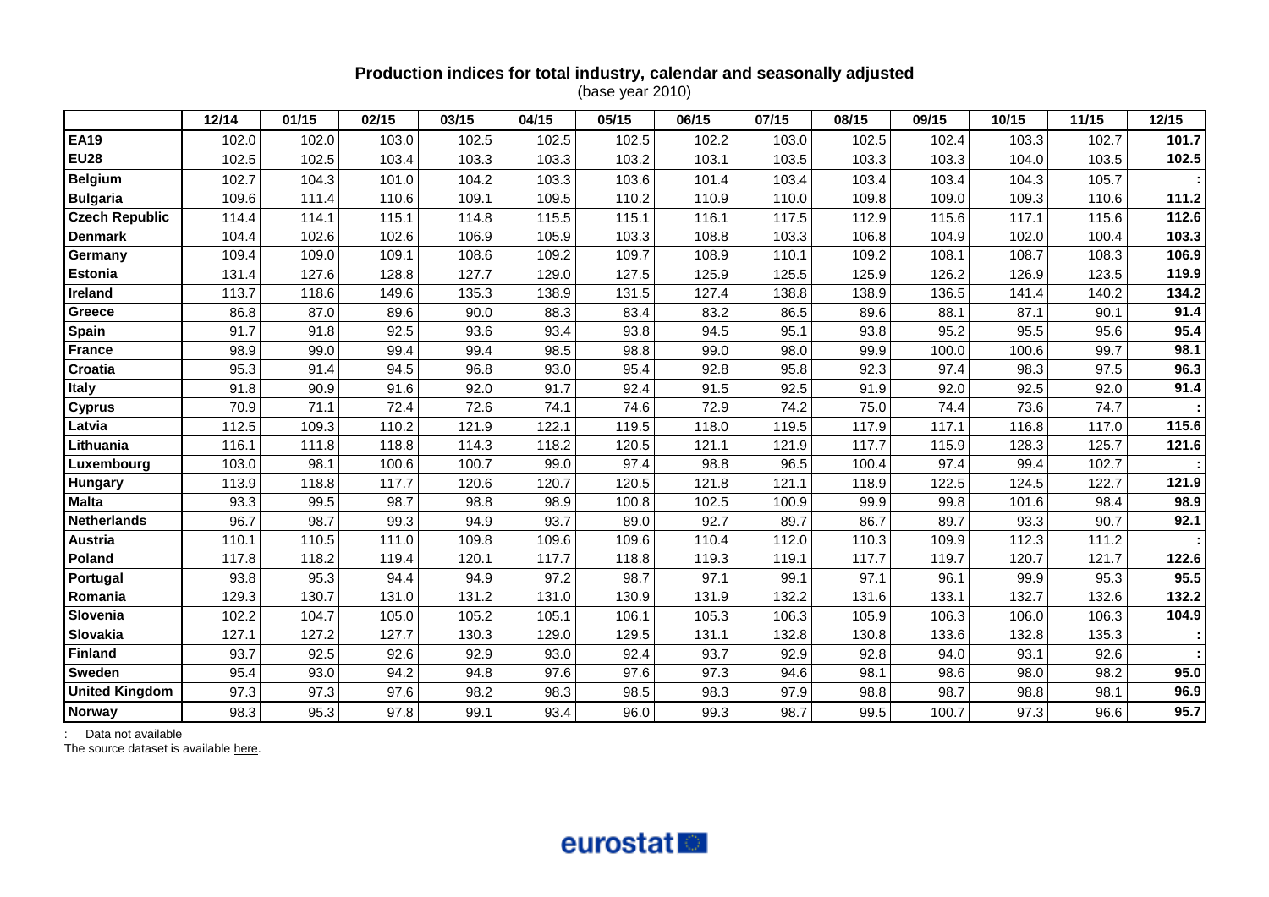# **Production indices for total industry, calendar and seasonally adjusted**

(base year 2010)

|                       | 12/14 | 01/15 | 02/15 | 03/15 | 04/15 | 05/15 | 06/15 | 07/15 | 08/15 | 09/15 | 10/15 | 11/15 | 12/15 |
|-----------------------|-------|-------|-------|-------|-------|-------|-------|-------|-------|-------|-------|-------|-------|
| <b>EA19</b>           | 102.0 | 102.0 | 103.0 | 102.5 | 102.5 | 102.5 | 102.2 | 103.0 | 102.5 | 102.4 | 103.3 | 102.7 | 101.7 |
| <b>EU28</b>           | 102.5 | 102.5 | 103.4 | 103.3 | 103.3 | 103.2 | 103.1 | 103.5 | 103.3 | 103.3 | 104.0 | 103.5 | 102.5 |
| <b>Belgium</b>        | 102.7 | 104.3 | 101.0 | 104.2 | 103.3 | 103.6 | 101.4 | 103.4 | 103.4 | 103.4 | 104.3 | 105.7 |       |
| <b>Bulgaria</b>       | 109.6 | 111.4 | 110.6 | 109.1 | 109.5 | 110.2 | 110.9 | 110.0 | 109.8 | 109.0 | 109.3 | 110.6 | 111.2 |
| <b>Czech Republic</b> | 114.4 | 114.1 | 115.1 | 114.8 | 115.5 | 115.1 | 116.1 | 117.5 | 112.9 | 115.6 | 117.1 | 115.6 | 112.6 |
| <b>Denmark</b>        | 104.4 | 102.6 | 102.6 | 106.9 | 105.9 | 103.3 | 108.8 | 103.3 | 106.8 | 104.9 | 102.0 | 100.4 | 103.3 |
| Germany               | 109.4 | 109.0 | 109.1 | 108.6 | 109.2 | 109.7 | 108.9 | 110.1 | 109.2 | 108.1 | 108.7 | 108.3 | 106.9 |
| <b>Estonia</b>        | 131.4 | 127.6 | 128.8 | 127.7 | 129.0 | 127.5 | 125.9 | 125.5 | 125.9 | 126.2 | 126.9 | 123.5 | 119.9 |
| Ireland               | 113.7 | 118.6 | 149.6 | 135.3 | 138.9 | 131.5 | 127.4 | 138.8 | 138.9 | 136.5 | 141.4 | 140.2 | 134.2 |
| Greece                | 86.8  | 87.0  | 89.6  | 90.0  | 88.3  | 83.4  | 83.2  | 86.5  | 89.6  | 88.1  | 87.1  | 90.1  | 91.4  |
| Spain                 | 91.7  | 91.8  | 92.5  | 93.6  | 93.4  | 93.8  | 94.5  | 95.1  | 93.8  | 95.2  | 95.5  | 95.6  | 95.4  |
| <b>France</b>         | 98.9  | 99.0  | 99.4  | 99.4  | 98.5  | 98.8  | 99.0  | 98.0  | 99.9  | 100.0 | 100.6 | 99.7  | 98.1  |
| Croatia               | 95.3  | 91.4  | 94.5  | 96.8  | 93.0  | 95.4  | 92.8  | 95.8  | 92.3  | 97.4  | 98.3  | 97.5  | 96.3  |
| <b>Italy</b>          | 91.8  | 90.9  | 91.6  | 92.0  | 91.7  | 92.4  | 91.5  | 92.5  | 91.9  | 92.0  | 92.5  | 92.0  | 91.4  |
| <b>Cyprus</b>         | 70.9  | 71.1  | 72.4  | 72.6  | 74.1  | 74.6  | 72.9  | 74.2  | 75.0  | 74.4  | 73.6  | 74.7  |       |
| Latvia                | 112.5 | 109.3 | 110.2 | 121.9 | 122.1 | 119.5 | 118.0 | 119.5 | 117.9 | 117.1 | 116.8 | 117.0 | 115.6 |
| Lithuania             | 116.1 | 111.8 | 118.8 | 114.3 | 118.2 | 120.5 | 121.1 | 121.9 | 117.7 | 115.9 | 128.3 | 125.7 | 121.6 |
| Luxembourg            | 103.0 | 98.1  | 100.6 | 100.7 | 99.0  | 97.4  | 98.8  | 96.5  | 100.4 | 97.4  | 99.4  | 102.7 |       |
| Hungary               | 113.9 | 118.8 | 117.7 | 120.6 | 120.7 | 120.5 | 121.8 | 121.1 | 118.9 | 122.5 | 124.5 | 122.7 | 121.9 |
| <b>Malta</b>          | 93.3  | 99.5  | 98.7  | 98.8  | 98.9  | 100.8 | 102.5 | 100.9 | 99.9  | 99.8  | 101.6 | 98.4  | 98.9  |
| <b>Netherlands</b>    | 96.7  | 98.7  | 99.3  | 94.9  | 93.7  | 89.0  | 92.7  | 89.7  | 86.7  | 89.7  | 93.3  | 90.7  | 92.1  |
| Austria               | 110.1 | 110.5 | 111.0 | 109.8 | 109.6 | 109.6 | 110.4 | 112.0 | 110.3 | 109.9 | 112.3 | 111.2 |       |
| Poland                | 117.8 | 118.2 | 119.4 | 120.1 | 117.7 | 118.8 | 119.3 | 119.1 | 117.7 | 119.7 | 120.7 | 121.7 | 122.6 |
| Portugal              | 93.8  | 95.3  | 94.4  | 94.9  | 97.2  | 98.7  | 97.1  | 99.1  | 97.1  | 96.1  | 99.9  | 95.3  | 95.5  |
| Romania               | 129.3 | 130.7 | 131.0 | 131.2 | 131.0 | 130.9 | 131.9 | 132.2 | 131.6 | 133.1 | 132.7 | 132.6 | 132.2 |
| Slovenia              | 102.2 | 104.7 | 105.0 | 105.2 | 105.1 | 106.1 | 105.3 | 106.3 | 105.9 | 106.3 | 106.0 | 106.3 | 104.9 |
| Slovakia              | 127.1 | 127.2 | 127.7 | 130.3 | 129.0 | 129.5 | 131.1 | 132.8 | 130.8 | 133.6 | 132.8 | 135.3 |       |
| Finland               | 93.7  | 92.5  | 92.6  | 92.9  | 93.0  | 92.4  | 93.7  | 92.9  | 92.8  | 94.0  | 93.1  | 92.6  |       |
| <b>Sweden</b>         | 95.4  | 93.0  | 94.2  | 94.8  | 97.6  | 97.6  | 97.3  | 94.6  | 98.1  | 98.6  | 98.0  | 98.2  | 95.0  |
| <b>United Kingdom</b> | 97.3  | 97.3  | 97.6  | 98.2  | 98.3  | 98.5  | 98.3  | 97.9  | 98.8  | 98.7  | 98.8  | 98.1  | 96.9  |
| <b>Norway</b>         | 98.3  | 95.3  | 97.8  | 99.1  | 93.4  | 96.0  | 99.3  | 98.7  | 99.5  | 100.7 | 97.3  | 96.6  | 95.7  |

: Data not available